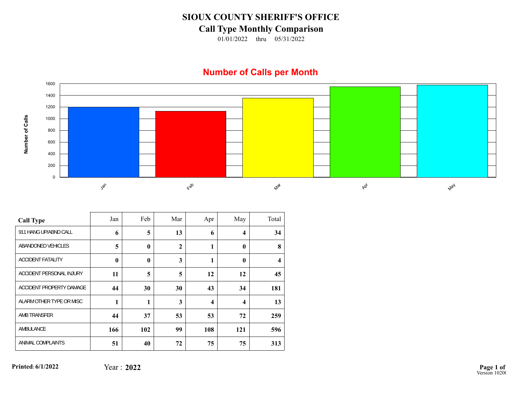## **SIOUX COUNTY SHERIFF'S OFFICE**

## **Call Type Monthly Comparison**

01/01/2022 thru 05/31/2022

## **Number of Calls per Month**



| <b>Call Type</b>         | Jan      | Feb          | Mar          | Apr              | May                     | Total                   |
|--------------------------|----------|--------------|--------------|------------------|-------------------------|-------------------------|
| 911 HANG UP/ABND CALL    | 6        | 5            | 13           | 6                | $\overline{\mathbf{4}}$ | 34                      |
| ABANDONED VEHICLES       | 5        | $\mathbf{0}$ | $\mathbf{2}$ | 1                | $\mathbf{0}$            | 8                       |
| <b>ACCIDENT FATALITY</b> | $\bf{0}$ | $\mathbf{0}$ | 3            | 1                | $\mathbf{0}$            | $\overline{\mathbf{4}}$ |
| ACCIDENT PERSONAL INJURY | 11       | 5            | 5            | 12               | 12                      | 45                      |
| ACCIDENT PROPERTY DAMAGE | 44       | 30           | 30           | 43               | 34                      | 181                     |
| ALARM OTHER TYPE OR MISC | 1        | 1            | 3            | $\boldsymbol{4}$ | $\boldsymbol{4}$        | 13                      |
| AMB TRANSFER             | 44       | 37           | 53           | 53               | 72                      | 259                     |
| AMBULANCE                | 166      | 102          | 99           | 108              | 121                     | 596                     |
| ANIMAL COMPLAINTS        | 51       | 40           | 72           | 75               | 75                      | 313                     |

**Printed:6/1/2022**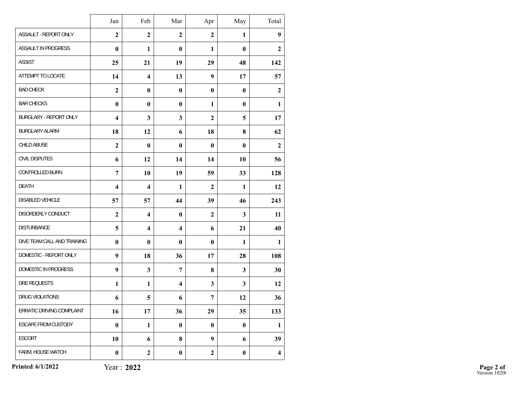|                             | Jan                     | Feb                     | Mar                     | Apr              | May          | Total                   |
|-----------------------------|-------------------------|-------------------------|-------------------------|------------------|--------------|-------------------------|
|                             |                         |                         |                         |                  |              |                         |
| ASSAULT - REPORT ONLY       | $\overline{2}$          | $\overline{2}$          | $\mathbf{2}$            | $\mathbf{2}$     | $\mathbf{1}$ | 9                       |
| ASSAULT IN PROGRESS         | $\bf{0}$                | 1                       | $\mathbf{0}$            | $\mathbf{1}$     | $\bf{0}$     | $\mathbf{2}$            |
| <b>ASSIST</b>               | 25                      | 21                      | 19                      | 29               | 48           | 142                     |
| ATTEMPT TO LOCATE           | 14                      | $\overline{\mathbf{4}}$ | 13                      | 9                | 17           | 57                      |
| <b>BAD CHECK</b>            | $\overline{2}$          | $\bf{0}$                | $\bf{0}$                | $\bf{0}$         | $\bf{0}$     | $\boldsymbol{2}$        |
| <b>BAR CHECKS</b>           | $\bf{0}$                | $\bf{0}$                | $\mathbf{0}$            | $\mathbf{1}$     | $\bf{0}$     | $\mathbf{1}$            |
| BURGLARY - REPORT ONLY      | $\overline{\mathbf{4}}$ | 3                       | $\overline{\mathbf{3}}$ | $\boldsymbol{2}$ | 5            | 17                      |
| <b>BURGLARY ALARM</b>       | 18                      | 12                      | 6                       | 18               | 8            | 62                      |
| CHILD ABUSE                 | $\overline{2}$          | $\bf{0}$                | $\bf{0}$                | $\bf{0}$         | $\bf{0}$     | $\overline{2}$          |
| CIVIL DISPUTES              | 6                       | 12                      | 14                      | 14               | 10           | 56                      |
| CONTROLLED BURN             | $\overline{7}$          | 10                      | 19                      | 59               | 33           | 128                     |
| <b>DEATH</b>                | $\overline{\mathbf{4}}$ | $\overline{\mathbf{4}}$ | $\mathbf{1}$            | $\mathbf{2}$     | $\mathbf{1}$ | 12                      |
| DISABLED VEHICLE            | 57                      | 57                      | 44                      | 39               | 46           | 243                     |
| DISORDERLY CONDUCT          | $\overline{2}$          | $\overline{\mathbf{4}}$ | $\bf{0}$                | $\overline{2}$   | $\mathbf{3}$ | 11                      |
| <b>DISTURBANCE</b>          | 5                       | $\overline{\mathbf{4}}$ | $\overline{\mathbf{4}}$ | 6                | 21           | 40                      |
| DIVE TEAM CALL AND TRAINING | $\bf{0}$                | $\bf{0}$                | $\mathbf{0}$            | $\bf{0}$         | 1            | 1                       |
| DOMESTIC - REPORT ONLY      | 9                       | 18                      | 36                      | 17               | 28           | 108                     |
| DOMESTIC IN PROGRESS        | 9                       | $\mathbf{3}$            | $\overline{7}$          | 8                | $\mathbf{3}$ | 30                      |
| DRE REQUESTS                | $\mathbf{1}$            | $\mathbf{1}$            | $\overline{\mathbf{4}}$ | 3                | $\mathbf{3}$ | 12                      |
| <b>DRUG VIOLATIONS</b>      | 6                       | 5                       | 6                       | $\overline{7}$   | 12           | 36                      |
| ERRATIC DRIVING COMPLAINT   | 16                      | 17                      | 36                      | 29               | 35           | 133                     |
| ESCAPE FROM CUSTODY         | $\pmb{0}$               | $\mathbf{1}$            | $\bf{0}$                | $\bf{0}$         | $\pmb{0}$    | $\mathbf{1}$            |
| <b>ESCORT</b>               | 10                      | 6                       | 8                       | 9                | 6            | 39                      |
| FARM, HOUSE WATCH           | $\boldsymbol{0}$        | $\mathbf{2}$            | $\bf{0}$                | $\boldsymbol{2}$ | $\bf{0}$     | $\overline{\mathbf{4}}$ |

**Printed:6/1/2022**

Year : **2022**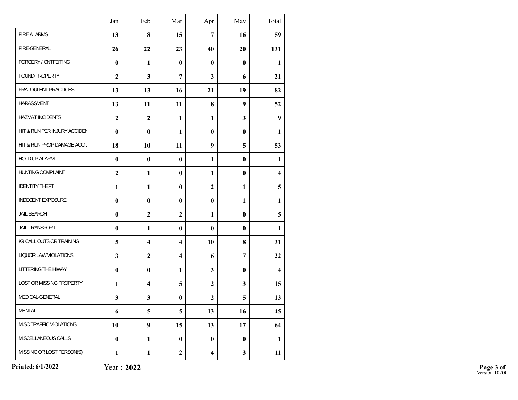|                              | Jan            | Feb                     | Mar                     | Apr                     | May          | Total                   |
|------------------------------|----------------|-------------------------|-------------------------|-------------------------|--------------|-------------------------|
| <b>FIRE ALARMS</b>           | 13             | 8                       | 15                      | $\overline{7}$          | 16           | 59                      |
| FIRE-GENERAL                 | 26             | 22                      | 23                      | 40                      | 20           | 131                     |
| FORGERY / CNTFEITING         | $\bf{0}$       | $\mathbf{1}$            | $\bf{0}$                | $\bf{0}$                | $\bf{0}$     | 1                       |
| FOUND PROPERTY               | $\overline{2}$ | $\mathbf{3}$            | $\overline{7}$          | 3                       | 6            | 21                      |
| FRAUDULENT PRACTICES         | 13             | 13                      | 16                      | 21                      | 19           | 82                      |
| <b>HARASSMENT</b>            | 13             | 11                      | 11                      | 8                       | 9            | 52                      |
| <b>HAZMAT INCIDENTS</b>      | $\overline{2}$ | $\boldsymbol{2}$        | $\mathbf{1}$            | $\mathbf{1}$            | 3            | 9                       |
| HIT & RUN PER INJURY ACCIDEN | $\mathbf{0}$   | $\bf{0}$                | $\mathbf{1}$            | $\mathbf{0}$            | $\bf{0}$     | 1                       |
| HIT & RUN PROP DAMAGE ACCIL  | 18             | 10                      | 11                      | 9                       | 5            | 53                      |
| HOLD UP ALARM                | $\bf{0}$       | $\bf{0}$                | $\bf{0}$                | $\mathbf{1}$            | $\bf{0}$     | $\mathbf{1}$            |
| HUNTING COMPLAINT            | $\overline{2}$ | 1                       | $\bf{0}$                | $\mathbf{1}$            | $\bf{0}$     | $\overline{\mathbf{4}}$ |
| <b>IDENTITY THEFT</b>        | $\mathbf{1}$   | $\mathbf{1}$            | $\bf{0}$                | $\overline{2}$          | $\mathbf{1}$ | 5                       |
| <b>INDECENT EXPOSURE</b>     | $\bf{0}$       | $\bf{0}$                | $\bf{0}$                | $\bf{0}$                | $\mathbf{1}$ | $\mathbf{1}$            |
| <b>JAIL SEARCH</b>           | $\bf{0}$       | $\mathbf{2}$            | $\overline{2}$          | $\mathbf{1}$            | $\bf{0}$     | 5                       |
| JAIL TRANSPORT               | $\bf{0}$       | 1                       | $\bf{0}$                | $\bf{0}$                | $\bf{0}$     | $\mathbf{1}$            |
| K9 CALL OUTS OR TRAINING     | 5              | $\overline{\mathbf{4}}$ | $\overline{\mathbf{4}}$ | 10                      | 8            | 31                      |
| LIQUOR LAW VIOLATIONS        | 3              | $\boldsymbol{2}$        | $\overline{\mathbf{4}}$ | 6                       | 7            | 22                      |
| LITTERING THE HIWAY          | $\bf{0}$       | $\bf{0}$                | $\mathbf{1}$            | 3                       | $\bf{0}$     | $\overline{\mathbf{4}}$ |
| LOST OR MISSING PROPERTY     | $\mathbf{1}$   | $\overline{\mathbf{4}}$ | 5                       | $\overline{2}$          | 3            | 15                      |
| MEDICAL-GENERAL              | $\mathbf{3}$   | $\mathbf{3}$            | $\bf{0}$                | $\overline{2}$          | 5            | 13                      |
| <b>MENTAL</b>                | 6              | 5                       | 5                       | 13                      | 16           | 45                      |
| MISC TRAFFIC VIOLATIONS      | 10             | $\boldsymbol{9}$        | 15                      | 13                      | 17           | 64                      |
| MISCELLANEOUS CALLS          | $\bf{0}$       | $\mathbf{1}$            | $\bf{0}$                | $\bf{0}$                | $\bf{0}$     | $\mathbf{1}$            |
| MISSING OR LOST PERSON(S)    | $\mathbf{1}$   | $\mathbf{1}$            | $\mathbf{2}$            | $\overline{\mathbf{4}}$ | 3            | 11                      |

**Printed:6/1/2022**

Year : **2022**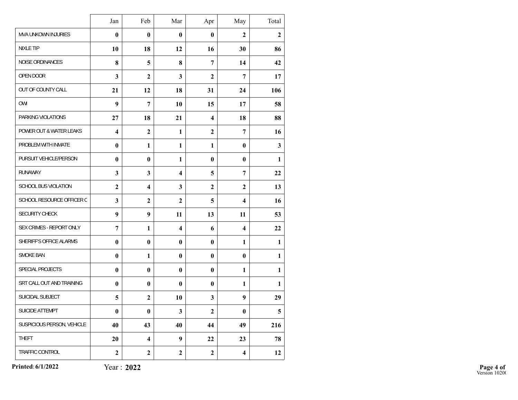|                             | Jan                     | Feb                     | Mar                     | Apr                     | May                     | Total          |
|-----------------------------|-------------------------|-------------------------|-------------------------|-------------------------|-------------------------|----------------|
| MVA UNKOWN INJURIES         | $\bf{0}$                | $\bf{0}$                | $\bf{0}$                | $\mathbf{0}$            | $\mathbf{2}$            | $\overline{2}$ |
| <b>NIXLE TIP</b>            | 10                      | 18                      | 12                      | 16                      | 30                      | 86             |
| NOISE ORDINANCES            | 8                       | 5                       | 8                       | 7                       | 14                      | 42             |
| OPEN DOOR                   | 3                       | $\overline{2}$          | $\overline{\mathbf{3}}$ | $\overline{2}$          | 7                       | 17             |
| OUT OF COUNTY CALL          | 21                      | 12                      | 18                      | 31                      | 24                      | 106            |
| OWI                         | 9                       | $\overline{7}$          | 10                      | 15                      | 17                      | 58             |
| PARKING VIOLATIONS          | 27                      | 18                      | 21                      | $\overline{\mathbf{4}}$ | 18                      | 88             |
| POWER OUT & WATER LEAKS     | $\overline{\mathbf{4}}$ | $\boldsymbol{2}$        | $\mathbf{1}$            | $\boldsymbol{2}$        | 7                       | 16             |
| PROBLEM WITH INMATE         | $\bf{0}$                | $\mathbf{1}$            | $\mathbf{1}$            | $\mathbf{1}$            | $\bf{0}$                | $\mathbf{3}$   |
| PURSUIT VEHICLE/PERSON      | $\bf{0}$                | $\bf{0}$                | 1                       | $\mathbf{0}$            | $\bf{0}$                | 1              |
| <b>RUNAWAY</b>              | 3                       | 3                       | $\overline{\mathbf{4}}$ | 5                       | 7                       | 22             |
| <b>SCHOOL BUS VIOLATION</b> | $\overline{2}$          | $\overline{\mathbf{4}}$ | 3                       | $\overline{2}$          | $\mathbf{2}$            | 13             |
| SCHOOL RESOURCE OFFICER C   | $\mathbf{3}$            | $\boldsymbol{2}$        | $\overline{2}$          | 5                       | 4                       | 16             |
| SECURITY CHECK              | 9                       | 9                       | 11                      | 13                      | 11                      | 53             |
| SEX CRIMES - REPORT ONLY    | 7                       | 1                       | $\overline{\mathbf{4}}$ | 6                       | $\overline{\mathbf{4}}$ | 22             |
| SHERIFF'S OFFICE ALARMS     | $\bf{0}$                | $\bf{0}$                | $\bf{0}$                | $\bf{0}$                | 1                       | 1              |
| SMOKE BAN                   | $\bf{0}$                | 1                       | $\bf{0}$                | $\bf{0}$                | $\bf{0}$                | 1              |
| SPECIAL PROJECTS            | $\bf{0}$                | $\bf{0}$                | $\bf{0}$                | $\bf{0}$                | $\mathbf{1}$            | 1              |
| SRT CALL OUT AND TRAINING   | $\bf{0}$                | $\bf{0}$                | $\mathbf{0}$            | $\bf{0}$                | $\mathbf{1}$            | 1              |
| SUICIDAL SUBJECT            | 5                       | $\boldsymbol{2}$        | 10                      | $\overline{\mathbf{3}}$ | 9                       | 29             |
| SUICIDE ATTEMPT             | $\bf{0}$                | $\pmb{0}$               | 3                       | $\boldsymbol{2}$        | $\bf{0}$                | 5              |
| SUSPICIOUS PERSON, VEHICLE  | 40                      | 43                      | 40                      | 44                      | 49                      | 216            |
| THEFT                       | 20                      | $\overline{\mathbf{4}}$ | 9                       | 22                      | 23                      | 78             |
| TRAFFIC CONTROL             | $\boldsymbol{2}$        | $\boldsymbol{2}$        | $\mathbf{2}$            | $\boldsymbol{2}$        | $\overline{\mathbf{4}}$ | 12             |

**Printed:6/1/2022**

Year : **2022**